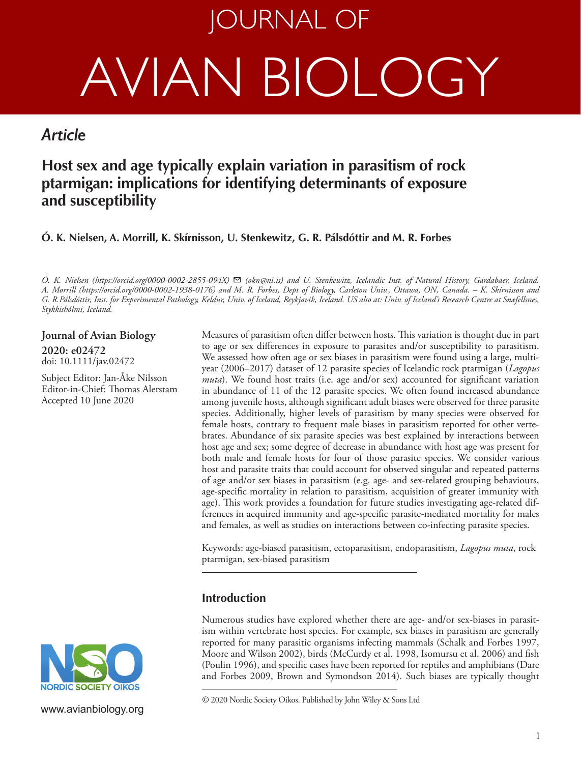# JOURNAL OF AVIAN BIOLOGY

# *Article*

## **Host sex and age typically explain variation in parasitism of rock ptarmigan: implications for identifying determinants of exposure and susceptibility**

**Ó. K. Nielsen, A. Morrill, K. Skírnisson, U. Stenkewitz, G. R. Pálsdóttir and M. R. Forbes**

*Ó. K. Nielsen (https://orcid.org/0000-0002-2855-094X)* ✉ *(okn@ni.is) and U. Stenkewitz, Icelandic Inst. of Natural History, Gardabaer, Iceland. A. Morrill (https://orcid.org/0000-0002-1938-0176) and M. R. Forbes, Dept of Biology, Carleton Univ., Ottawa, ON, Canada. – K. Skírnisson and G. R.Pálsdóttir, Inst. for Experimental Pathology, Keldur, Univ. of Iceland, Reykjavik, Iceland. US also at: Univ. of Iceland's Research Centre at Snæfellsnes, Stykkishólmi, Iceland.*

[doi: 10.1111/jav.02472](http://dx.doi.org/10.1111/jav.02472) **Journal of Avian Biology 2020: e02472**

Subject Editor: Jan-Åke Nilsson Editor-in-Chief: Thomas Alerstam Accepted 10 June 2020

Measures of parasitism often differ between hosts. This variation is thought due in part to age or sex differences in exposure to parasites and/or susceptibility to parasitism. We assessed how often age or sex biases in parasitism were found using a large, multiyear (2006–2017) dataset of 12 parasite species of Icelandic rock ptarmigan (*Lagopus muta*). We found host traits (i.e. age and/or sex) accounted for significant variation in abundance of 11 of the 12 parasite species. We often found increased abundance among juvenile hosts, although significant adult biases were observed for three parasite species. Additionally, higher levels of parasitism by many species were observed for female hosts, contrary to frequent male biases in parasitism reported for other vertebrates. Abundance of six parasite species was best explained by interactions between host age and sex; some degree of decrease in abundance with host age was present for both male and female hosts for four of those parasite species. We consider various host and parasite traits that could account for observed singular and repeated patterns of age and/or sex biases in parasitism (e.g. age- and sex-related grouping behaviours, age-specific mortality in relation to parasitism, acquisition of greater immunity with age). This work provides a foundation for future studies investigating age-related differences in acquired immunity and age-specific parasite-mediated mortality for males and females, as well as studies on interactions between co-infecting parasite species.

Keywords: age-biased parasitism, ectoparasitism, endoparasitism, *Lagopus muta*, rock ptarmigan, sex-biased parasitism

## **Introduction**

Numerous studies have explored whether there are age- and/or sex-biases in parasitism within vertebrate host species. For example, sex biases in parasitism are generally reported for many parasitic organisms infecting mammals (Schalk and Forbes 1997, Moore and Wilson 2002), birds (McCurdy et al. 1998, Isomursu et al. 2006) and fish (Poulin 1996), and specific cases have been reported for reptiles and amphibians (Dare and Forbes 2009, Brown and Symondson 2014). Such biases are typically thought

––––––––––––––––––––––––––––––––––––––––



www.avianbiology.org

<sup>© 2020</sup> Nordic Society Oikos. Published by John Wiley & Sons Ltd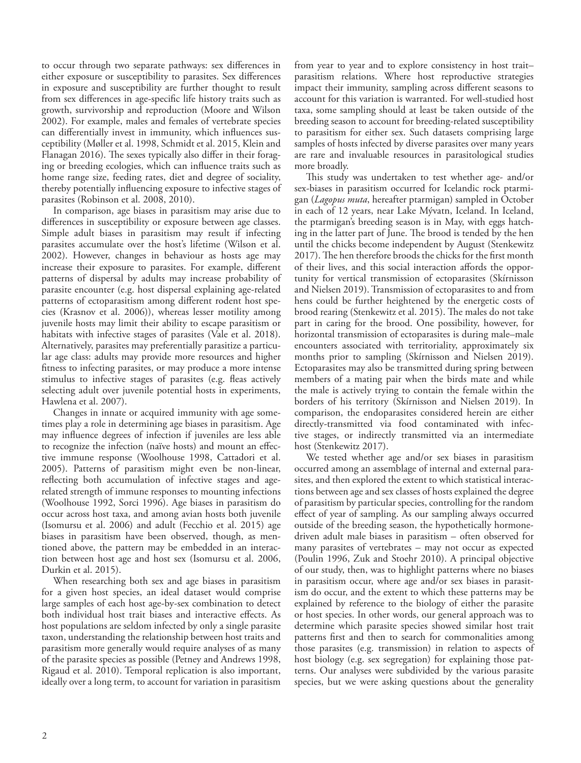to occur through two separate pathways: sex differences in either exposure or susceptibility to parasites. Sex differences in exposure and susceptibility are further thought to result from sex differences in age-specific life history traits such as growth, survivorship and reproduction (Moore and Wilson 2002). For example, males and females of vertebrate species can differentially invest in immunity, which influences susceptibility (Møller et al. 1998, Schmidt et al. 2015, Klein and Flanagan 2016). The sexes typically also differ in their foraging or breeding ecologies, which can influence traits such as home range size, feeding rates, diet and degree of sociality, thereby potentially influencing exposure to infective stages of parasites (Robinson et al. 2008, 2010).

In comparison, age biases in parasitism may arise due to differences in susceptibility or exposure between age classes. Simple adult biases in parasitism may result if infecting parasites accumulate over the host's lifetime (Wilson et al. 2002). However, changes in behaviour as hosts age may increase their exposure to parasites. For example, different patterns of dispersal by adults may increase probability of parasite encounter (e.g. host dispersal explaining age-related patterns of ectoparasitism among different rodent host species (Krasnov et al. 2006)), whereas lesser motility among juvenile hosts may limit their ability to escape parasitism or habitats with infective stages of parasites (Vale et al. 2018). Alternatively, parasites may preferentially parasitize a particular age class: adults may provide more resources and higher fitness to infecting parasites, or may produce a more intense stimulus to infective stages of parasites (e.g. fleas actively selecting adult over juvenile potential hosts in experiments, Hawlena et al. 2007).

Changes in innate or acquired immunity with age sometimes play a role in determining age biases in parasitism. Age may influence degrees of infection if juveniles are less able to recognize the infection (naïve hosts) and mount an effective immune response (Woolhouse 1998, Cattadori et al. 2005). Patterns of parasitism might even be non-linear, reflecting both accumulation of infective stages and agerelated strength of immune responses to mounting infections (Woolhouse 1992, Sorci 1996). Age biases in parasitism do occur across host taxa, and among avian hosts both juvenile (Isomursu et al. 2006) and adult (Fecchio et al. 2015) age biases in parasitism have been observed, though, as mentioned above, the pattern may be embedded in an interaction between host age and host sex (Isomursu et al. 2006, Durkin et al. 2015).

When researching both sex and age biases in parasitism for a given host species, an ideal dataset would comprise large samples of each host age-by-sex combination to detect both individual host trait biases and interactive effects. As host populations are seldom infected by only a single parasite taxon, understanding the relationship between host traits and parasitism more generally would require analyses of as many of the parasite species as possible (Petney and Andrews 1998, Rigaud et al. 2010). Temporal replication is also important, ideally over a long term, to account for variation in parasitism

from year to year and to explore consistency in host trait– parasitism relations. Where host reproductive strategies impact their immunity, sampling across different seasons to account for this variation is warranted. For well-studied host taxa, some sampling should at least be taken outside of the breeding season to account for breeding-related susceptibility to parasitism for either sex. Such datasets comprising large samples of hosts infected by diverse parasites over many years are rare and invaluable resources in parasitological studies more broadly.

This study was undertaken to test whether age- and/or sex-biases in parasitism occurred for Icelandic rock ptarmigan (*Lagopus muta*, hereafter ptarmigan) sampled in October in each of 12 years, near Lake Mývatn, Iceland. In Iceland, the ptarmigan's breeding season is in May, with eggs hatching in the latter part of June. The brood is tended by the hen until the chicks become independent by August (Stenkewitz 2017). The hen therefore broods the chicks for the first month of their lives, and this social interaction affords the opportunity for vertical transmission of ectoparasites (Skírnisson and Nielsen 2019). Transmission of ectoparasites to and from hens could be further heightened by the energetic costs of brood rearing (Stenkewitz et al. 2015). The males do not take part in caring for the brood. One possibility, however, for horizontal transmission of ectoparasites is during male–male encounters associated with territoriality, approximately six months prior to sampling (Skírnisson and Nielsen 2019). Ectoparasites may also be transmitted during spring between members of a mating pair when the birds mate and while the male is actively trying to contain the female within the borders of his territory (Skírnisson and Nielsen 2019). In comparison, the endoparasites considered herein are either directly-transmitted via food contaminated with infective stages, or indirectly transmitted via an intermediate host (Stenkewitz 2017).

We tested whether age and/or sex biases in parasitism occurred among an assemblage of internal and external parasites, and then explored the extent to which statistical interactions between age and sex classes of hosts explained the degree of parasitism by particular species, controlling for the random effect of year of sampling. As our sampling always occurred outside of the breeding season, the hypothetically hormonedriven adult male biases in parasitism – often observed for many parasites of vertebrates – may not occur as expected (Poulin 1996, Zuk and Stoehr 2010). A principal objective of our study, then, was to highlight patterns where no biases in parasitism occur, where age and/or sex biases in parasitism do occur, and the extent to which these patterns may be explained by reference to the biology of either the parasite or host species. In other words, our general approach was to determine which parasite species showed similar host trait patterns first and then to search for commonalities among those parasites (e.g. transmission) in relation to aspects of host biology (e.g. sex segregation) for explaining those patterns. Our analyses were subdivided by the various parasite species, but we were asking questions about the generality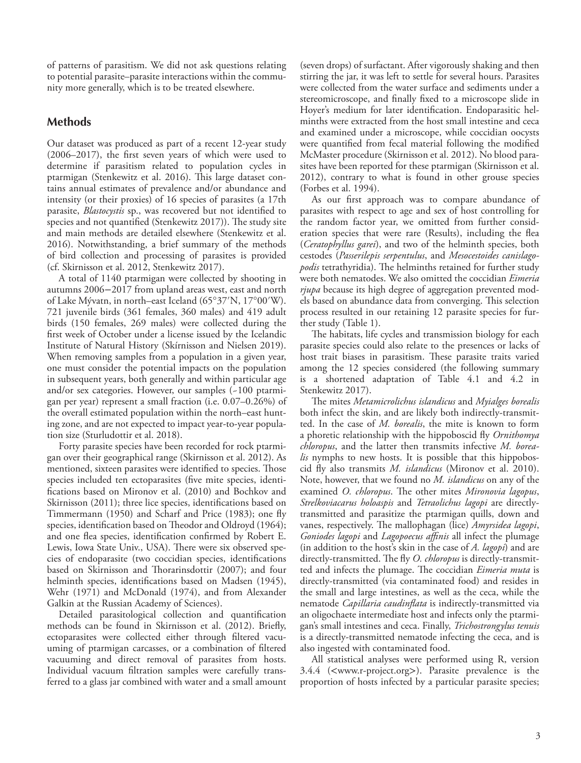of patterns of parasitism. We did not ask questions relating to potential parasite–parasite interactions within the community more generally, which is to be treated elsewhere.

#### **Methods**

Our dataset was produced as part of a recent 12-year study (2006–2017), the first seven years of which were used to determine if parasitism related to population cycles in ptarmigan (Stenkewitz et al. 2016). This large dataset contains annual estimates of prevalence and/or abundance and intensity (or their proxies) of 16 species of parasites (a 17th parasite, *Blastocystis* sp., was recovered but not identified to species and not quantified (Stenkewitz 2017)). The study site and main methods are detailed elsewhere (Stenkewitz et al. 2016). Notwithstanding, a brief summary of the methods of bird collection and processing of parasites is provided (cf. Skirnisson et al. 2012, Stenkewitz 2017).

A total of 1140 ptarmigan were collected by shooting in autumns 2006−2017 from upland areas west, east and north of Lake Mývatn, in north–east Iceland (65°37′N, 17°00′W). 721 juvenile birds (361 females, 360 males) and 419 adult birds (150 females, 269 males) were collected during the first week of October under a license issued by the Icelandic Institute of Natural History (Skírnisson and Nielsen 2019). When removing samples from a population in a given year, one must consider the potential impacts on the population in subsequent years, both generally and within particular age and/or sex categories. However, our samples (~100 ptarmigan per year) represent a small fraction (i.e. 0.07–0.26%) of the overall estimated population within the north–east hunting zone, and are not expected to impact year-to-year population size (Sturludottir et al. 2018).

Forty parasite species have been recorded for rock ptarmigan over their geographical range (Skirnisson et al. 2012). As mentioned, sixteen parasites were identified to species. Those species included ten ectoparasites (five mite species, identifications based on Mironov et al. (2010) and Bochkov and Skirnisson (2011); three lice species, identifications based on Timmermann (1950) and Scharf and Price (1983); one fly species, identification based on Theodor and Oldroyd (1964); and one flea species, identification confirmed by Robert E. Lewis, Iowa State Univ., USA). There were six observed species of endoparasite (two coccidian species, identifications based on Skirnisson and Thorarinsdottir (2007); and four helminth species, identifications based on Madsen (1945), Wehr (1971) and McDonald (1974), and from Alexander Galkin at the Russian Academy of Sciences).

Detailed parasitological collection and quantification methods can be found in Skirnisson et al. (2012). Briefly, ectoparasites were collected either through filtered vacuuming of ptarmigan carcasses, or a combination of filtered vacuuming and direct removal of parasites from hosts. Individual vacuum filtration samples were carefully transferred to a glass jar combined with water and a small amount (seven drops) of surfactant. After vigorously shaking and then stirring the jar, it was left to settle for several hours. Parasites were collected from the water surface and sediments under a stereomicroscope, and finally fixed to a microscope slide in Hoyer's medium for later identification. Endoparasitic helminths were extracted from the host small intestine and ceca and examined under a microscope, while coccidian oocysts were quantified from fecal material following the modified McMaster procedure (Skirnisson et al. 2012). No blood parasites have been reported for these ptarmigan (Skirnisson et al. 2012), contrary to what is found in other grouse species (Forbes et al. 1994).

As our first approach was to compare abundance of parasites with respect to age and sex of host controlling for the random factor year, we omitted from further consideration species that were rare (Results), including the flea (*Ceratophyllus garei*), and two of the helminth species, both cestodes (*Passerilepis serpentulus*, and *Mesocestoides canislagopodis* tetrathyridia). The helminths retained for further study were both nematodes. We also omitted the coccidian *Eimeria rjupa* because its high degree of aggregation prevented models based on abundance data from converging. This selection process resulted in our retaining 12 parasite species for further study (Table 1).

The habitats, life cycles and transmission biology for each parasite species could also relate to the presences or lacks of host trait biases in parasitism. These parasite traits varied among the 12 species considered (the following summary is a shortened adaptation of Table 4.1 and 4.2 in Stenkewitz 2017).

The mites *Metamicrolichus islandicus* and *Myialges borealis* both infect the skin, and are likely both indirectly-transmitted. In the case of *M. borealis*, the mite is known to form a phoretic relationship with the hippoboscid fly *Ornithomya chloropus*, and the latter then transmits infective *M. borealis* nymphs to new hosts. It is possible that this hippoboscid fly also transmits *M. islandicus* (Mironov et al. 2010). Note, however, that we found no *M. islandicus* on any of the examined *O. chloropus*. The other mites *Mironovia lagopus*, *Strelkoviacarus holoaspis* and *Tetraolichus lagopi* are directlytransmitted and parasitize the ptarmigan quills, down and vanes, respectively. The mallophagan (lice) *Amyrsidea lagopi*, *Goniodes lagopi* and *Lagopoecus affinis* all infect the plumage (in addition to the host's skin in the case of *A. lagopi*) and are directly-transmitted. The fly *O. chloropus* is directly-transmitted and infects the plumage. The coccidian *Eimeria muta* is directly-transmitted (via contaminated food) and resides in the small and large intestines, as well as the ceca, while the nematode *Capillaria caudinflata* is indirectly-transmitted via an oligochaete intermediate host and infects only the ptarmigan's small intestines and ceca. Finally, *Trichostrongylus tenuis* is a directly-transmitted nematode infecting the ceca, and is also ingested with contaminated food.

All statistical analyses were performed using R, version 3.4.4 (<www.r-project.org>). Parasite prevalence is the proportion of hosts infected by a particular parasite species;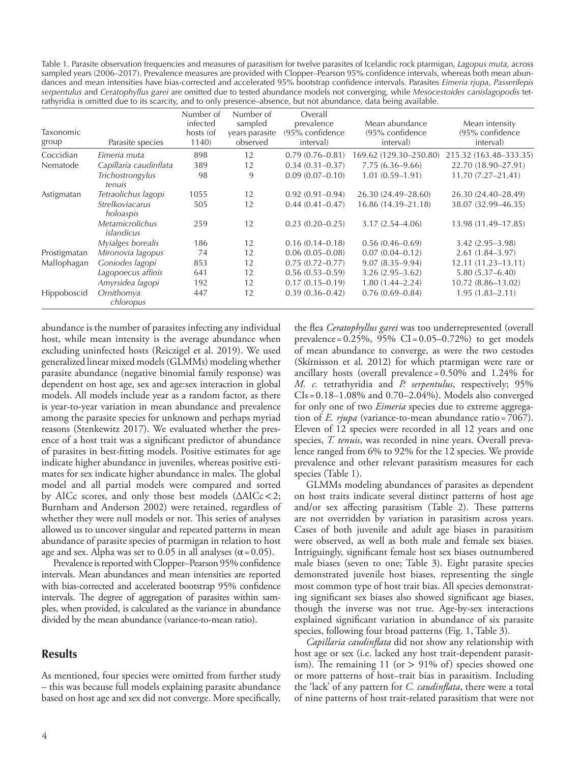Table 1. Parasite observation frequencies and measures of parasitism for twelve parasites of Icelandic rock ptarmigan, *Lagopus muta*, across sampled years (2006–2017). Prevalence measures are provided with Clopper–Pearson 95% confidence intervals, whereas both mean abundances and mean intensities have bias-corrected and accelerated 95% bootstrap confidence intervals. Parasites *Eimeria rjupa*, *Passerilepis serpentulus* and *Ceratophyllus garei* are omitted due to tested abundance models not converging, while *Mesocestoides canislagopodis* tetrathyridia is omitted due to its scarcity, and to only presence–absence, but not abundance, data being available.

|                  |                                      | Number of | Number of      | Overall             |                        |                        |
|------------------|--------------------------------------|-----------|----------------|---------------------|------------------------|------------------------|
|                  |                                      | infected  | sampled        | prevalence          | Mean abundance         | Mean intensity         |
| <b>Taxonomic</b> |                                      | hosts (of | years parasite | (95% confidence     | (95% confidence        | (95% confidence        |
| group            | Parasite species                     | 1140)     | observed       | interval)           | interval)              | interval)              |
| Coccidian        | Eimeria muta                         | 898       | 12             | $0.79(0.76 - 0.81)$ | 169.62 (129.30-250.80) | 215.32 (163.48-333.35) |
| Nematode         | Capillaria caudinflata               | 389       | 12             | $0.34(0.31 - 0.37)$ | $7.75(6.36 - 9.66)$    | 22.70 (18.90-27.91)    |
|                  | Trichostrongylus<br>tenuis           | 98        | 9              | $0.09(0.07-0.10)$   | $1.01(0.59 - 1.91)$    | 11.70 (7.27-21.41)     |
| Astigmatan       | Tetraolichus lagopi                  | 1055      | 12             | $0.92(0.91-0.94)$   | 26.30 (24.49–28.60)    | 26.30 (24.40–28.49)    |
|                  | Strelkoviacarus<br>holoaspis         | 505       | 12             | $0.44(0.41 - 0.47)$ | 16.86 (14.39-21.18)    | 38.07 (32.99-46.35)    |
|                  | Metamicrolichus<br><i>islandicus</i> | 259       | 12             | $0.23(0.20 - 0.25)$ | $3.17(2.54 - 4.06)$    | 13.98 (11.49-17.85)    |
|                  | Myialges borealis                    | 186       | 12             | $0.16(0.14 - 0.18)$ | $0.56(0.46 - 0.69)$    | $3.42(2.95-3.98)$      |
| Prostigmatan     | Mironovia lagopus                    | 74        | 12             | $0.06(0.05-0.08)$   | $0.07(0.04 - 0.12)$    | $2.61(1.84 - 3.97)$    |
| Mallophagan      | Goniodes lagopi                      | 853       | 12             | $0.75(0.72 - 0.77)$ | $9.07(8.35 - 9.94)$    | 12.11 (11.23-13.11)    |
|                  | Lagopoecus affinis                   | 641       | 12             | $0.56(0.53 - 0.59)$ | $3.26(2.95-3.62)$      | $5.80(5.37 - 6.40)$    |
|                  | Amyrsidea lagopi                     | 192       | 12             | $0.17(0.15-0.19)$   | $1.80(1.44 - 2.24)$    | $10.72(8.86 - 13.02)$  |
| Hippoboscid      | Ornithomya<br>chloropus              | 447       | 12             | $0.39(0.36 - 0.42)$ | $0.76(0.69 - 0.84)$    | $1.95(1.83 - 2.11)$    |

abundance is the number of parasites infecting any individual host, while mean intensity is the average abundance when excluding uninfected hosts (Reiczigel et al. 2019). We used generalized linear mixed models (GLMMs) modeling whether parasite abundance (negative binomial family response) was dependent on host age, sex and age:sex interaction in global models. All models include year as a random factor, as there is year-to-year variation in mean abundance and prevalence among the parasite species for unknown and perhaps myriad reasons (Stenkewitz 2017). We evaluated whether the presence of a host trait was a significant predictor of abundance of parasites in best-fitting models. Positive estimates for age indicate higher abundance in juveniles, whereas positive estimates for sex indicate higher abundance in males. The global model and all partial models were compared and sorted by AICc scores, and only those best models  $(\Delta AICc < 2;$ Burnham and Anderson 2002) were retained, regardless of whether they were null models or not. This series of analyses allowed us to uncover singular and repeated patterns in mean abundance of parasite species of ptarmigan in relation to host age and sex. Alpha was set to 0.05 in all analyses ( $\alpha$  = 0.05).

Prevalence is reported with Clopper–Pearson 95% confidence intervals. Mean abundances and mean intensities are reported with bias-corrected and accelerated bootstrap 95% confidence intervals. The degree of aggregation of parasites within samples, when provided, is calculated as the variance in abundance divided by the mean abundance (variance-to-mean ratio).

#### **Results**

As mentioned, four species were omitted from further study – this was because full models explaining parasite abundance based on host age and sex did not converge. More specifically,

the flea *Ceratophyllus garei* was too underrepresented (overall prevalence =  $0.25\%$ ,  $95\%$  CI =  $0.05-0.72\%$ ) to get models of mean abundance to converge, as were the two cestodes (Skírnisson et al. 2012) for which ptarmigan were rare or ancillary hosts (overall prevalence  $= 0.50\%$  and 1.24% for *M. c.* tetrathyridia and *P. serpentulus*, respectively; 95% CIs =0.18–1.08% and 0.70–2.04%). Models also converged for only one of two *Eimeria* species due to extreme aggregation of *E. rjupa* (variance-to-mean abundance ratio = 7067). Eleven of 12 species were recorded in all 12 years and one species, *T. tenuis*, was recorded in nine years. Overall prevalence ranged from 6% to 92% for the 12 species. We provide prevalence and other relevant parasitism measures for each species (Table 1).

GLMMs modeling abundances of parasites as dependent on host traits indicate several distinct patterns of host age and/or sex affecting parasitism (Table 2). These patterns are not overridden by variation in parasitism across years. Cases of both juvenile and adult age biases in parasitism were observed, as well as both male and female sex biases. Intriguingly, significant female host sex biases outnumbered male biases (seven to one; Table 3). Eight parasite species demonstrated juvenile host biases, representing the single most common type of host trait bias. All species demonstrating significant sex biases also showed significant age biases, though the inverse was not true. Age-by-sex interactions explained significant variation in abundance of six parasite species, following four broad patterns (Fig. 1, Table 3).

*Capillaria caudinflata* did not show any relationship with host age or sex (i.e. lacked any host trait-dependent parasitism). The remaining 11 (or > 91% of) species showed one or more patterns of host–trait bias in parasitism. Including the 'lack' of any pattern for *C. caudinflata*, there were a total of nine patterns of host trait-related parasitism that were not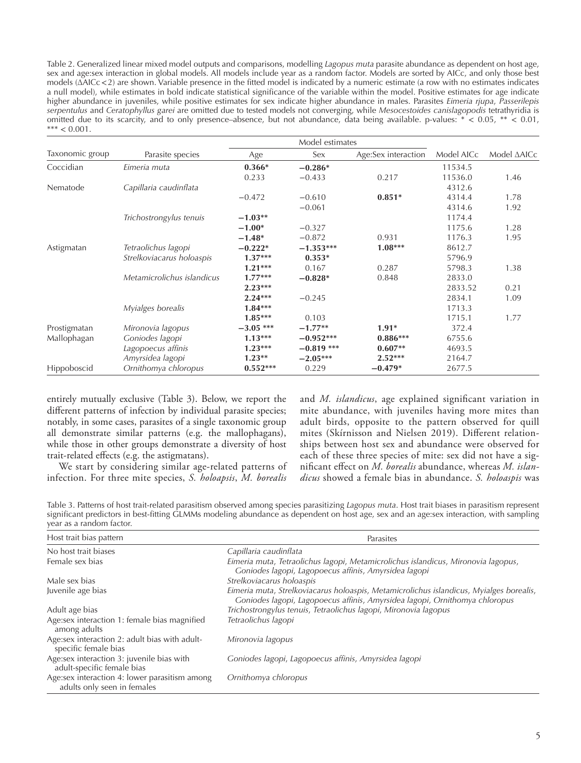Table 2. Generalized linear mixed model outputs and comparisons, modelling *Lagopus muta* parasite abundance as dependent on host age, sex and age:sex interaction in global models. All models include year as a random factor. Models are sorted by AICc, and only those best models (ΔAICc<2) are shown. Variable presence in the fitted model is indicated by a numeric estimate (a row with no estimates indicates a null model), while estimates in bold indicate statistical significance of the variable within the model. Positive estimates for age indicate higher abundance in juveniles, while positive estimates for sex indicate higher abundance in males. Parasites *Eimeria rjupa*, *Passerilepis serpentulus* and *Ceratophyllus garei* are omitted due to tested models not converging, while *Mesocestoides canislagopodis* tetrathyridia is omitted due to its scarcity, and to only presence–absence, but not abundance, data being available. p-values: \* < 0.05, \*\* < 0.01,  $*** < 0.001$ .

|                 |                            | Model estimates |              |                     |            |             |
|-----------------|----------------------------|-----------------|--------------|---------------------|------------|-------------|
| Taxonomic group | Parasite species           | Age             | Sex          | Age:Sex interaction | Model AICc | Model AAICc |
| Coccidian       | Eimeria muta               | $0.366*$        | $-0.286*$    |                     | 11534.5    |             |
|                 |                            | 0.233           | $-0.433$     | 0.217               | 11536.0    | 1.46        |
| Nematode        | Capillaria caudinflata     |                 |              |                     | 4312.6     |             |
|                 |                            | $-0.472$        | $-0.610$     | $0.851*$            | 4314.4     | 1.78        |
|                 |                            |                 | $-0.061$     |                     | 4314.6     | 1.92        |
|                 | Trichostrongylus tenuis    | $-1.03**$       |              |                     | 1174.4     |             |
|                 |                            | $-1.00*$        | $-0.327$     |                     | 1175.6     | 1.28        |
|                 |                            | $-1.48*$        | $-0.872$     | 0.931               | 1176.3     | 1.95        |
| Astigmatan      | Tetraolichus lagopi        | $-0.222*$       | $-1.353***$  | $1.08***$           | 8612.7     |             |
|                 | Strelkoviacarus holoaspis  | $1.37***$       | $0.353*$     |                     | 5796.9     |             |
|                 |                            | $1.21***$       | 0.167        | 0.287               | 5798.3     | 1.38        |
|                 | Metamicrolichus islandicus | $1.77***$       | $-0.828*$    | 0.848               | 2833.0     |             |
|                 |                            | $2.23***$       |              |                     | 2833.52    | 0.21        |
|                 |                            | $2.24***$       | $-0.245$     |                     | 2834.1     | 1.09        |
|                 | Myialges borealis          | $1.84***$       |              |                     | 1713.3     |             |
|                 |                            | $1.85***$       | 0.103        |                     | 1715.1     | 1.77        |
| Prostigmatan    | Mironovia lagopus          | $-3.05$ ***     | $-1.77**$    | $1.91*$             | 372.4      |             |
| Mallophagan     | Goniodes lagopi            | $1.13***$       | $-0.952***$  | $0.886***$          | 6755.6     |             |
|                 | Lagopoecus affinis         | $1.23***$       | $-0.819$ *** | $0.607**$           | 4693.5     |             |
|                 | Amyrsidea lagopi           | $1.23**$        | $-2.05***$   | $2.52***$           | 2164.7     |             |
| Hippoboscid     | Ornithomya chloropus       | $0.552***$      | 0.229        | $-0.479*$           | 2677.5     |             |

entirely mutually exclusive (Table 3). Below, we report the different patterns of infection by individual parasite species; notably, in some cases, parasites of a single taxonomic group all demonstrate similar patterns (e.g. the mallophagans), while those in other groups demonstrate a diversity of host trait-related effects (e.g. the astigmatans).

We start by considering similar age-related patterns of infection. For three mite species, *S. holoapsis*, *M. borealis*

and *M. islandicus*, age explained significant variation in mite abundance, with juveniles having more mites than adult birds, opposite to the pattern observed for quill mites (Skírnisson and Nielsen 2019). Different relationships between host sex and abundance were observed for each of these three species of mite: sex did not have a significant effect on *M. borealis* abundance, whereas *M. islandicus* showed a female bias in abundance. *S. holoaspis* was

Table 3. Patterns of host trait-related parasitism observed among species parasitizing *Lagopus muta*. Host trait biases in parasitism represent significant predictors in best-fitting GLMMs modeling abundance as dependent on host age, sex and an age:sex interaction, with sampling year as a random factor.

| Host trait bias pattern                                                      | Parasites                                                                                                                                                              |  |  |  |
|------------------------------------------------------------------------------|------------------------------------------------------------------------------------------------------------------------------------------------------------------------|--|--|--|
| No host trait biases                                                         | Capillaria caudinflata                                                                                                                                                 |  |  |  |
| Female sex bias                                                              | Eimeria muta, Tetraolichus lagopi, Metamicrolichus islandicus, Mironovia lagopus,<br>Goniodes lagopi, Lagopoecus affinis, Amyrsidea lagopi                             |  |  |  |
| Male sex bias                                                                | Strelkoviacarus holoaspis                                                                                                                                              |  |  |  |
| Juvenile age bias                                                            | Eimeria muta, Strelkoviacarus holoaspis, Metamicrolichus islandicus, Myialges borealis,<br>Goniodes lagopi, Lagopoecus affinis, Amyrsidea lagopi, Ornithomya chloropus |  |  |  |
| Adult age bias                                                               | Trichostrongylus tenuis, Tetraolichus lagopi, Mironovia lagopus                                                                                                        |  |  |  |
| Age:sex interaction 1: female bias magnified<br>among adults                 | Tetraolichus lagopi                                                                                                                                                    |  |  |  |
| Age:sex interaction 2: adult bias with adult-<br>specific female bias        | Mironovia lagopus                                                                                                                                                      |  |  |  |
| Age:sex interaction 3: juvenile bias with<br>adult-specific female bias      | Goniodes lagopi, Lagopoecus affinis, Amyrsidea lagopi                                                                                                                  |  |  |  |
| Age:sex interaction 4: lower parasitism among<br>adults only seen in females | Ornithomya chloropus                                                                                                                                                   |  |  |  |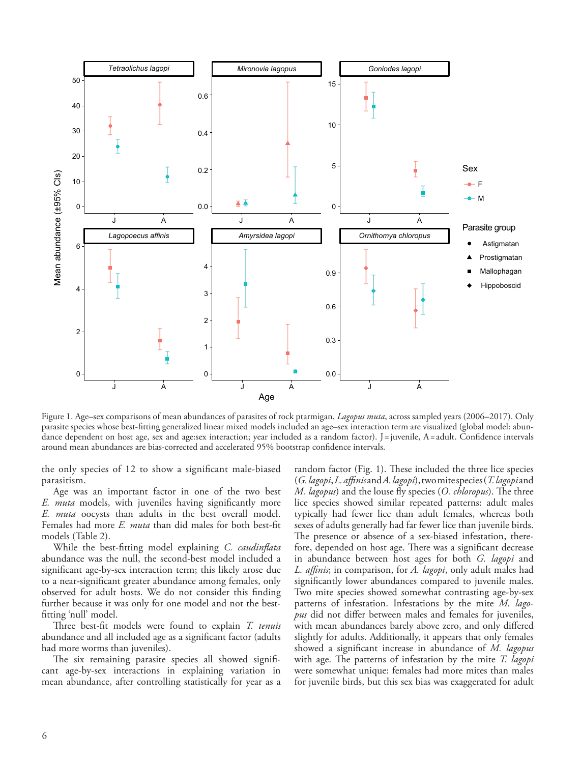

Figure 1. Age–sex comparisons of mean abundances of parasites of rock ptarmigan, *Lagopus muta*, across sampled years (2006–2017). Only parasite species whose best-fitting generalized linear mixed models included an age–sex interaction term are visualized (global model: abundance dependent on host age, sex and age:sex interaction; year included as a random factor). J = juvenile, A = adult. Confidence intervals around mean abundances are bias-corrected and accelerated 95% bootstrap confidence intervals.

the only species of 12 to show a significant male-biased parasitism.

Age was an important factor in one of the two best *E. muta* models, with juveniles having significantly more *E. muta* oocysts than adults in the best overall model. Females had more *E. muta* than did males for both best-fit models (Table 2).

While the best-fitting model explaining *C. caudinflata* abundance was the null, the second-best model included a significant age-by-sex interaction term; this likely arose due to a near-significant greater abundance among females, only observed for adult hosts. We do not consider this finding further because it was only for one model and not the bestfitting 'null' model.

Three best-fit models were found to explain *T. tenuis* abundance and all included age as a significant factor (adults had more worms than juveniles).

The six remaining parasite species all showed significant age-by-sex interactions in explaining variation in mean abundance, after controlling statistically for year as a random factor (Fig. 1). These included the three lice species (*G. lagopi*, *L. affinis* and *A. lagopi*), two mite species (*T. lagopi* and *M. lagopus*) and the louse fly species (*O. chloropus*). The three lice species showed similar repeated patterns: adult males typically had fewer lice than adult females, whereas both sexes of adults generally had far fewer lice than juvenile birds. The presence or absence of a sex-biased infestation, therefore, depended on host age. There was a significant decrease in abundance between host ages for both *G. lagopi* and *L. affinis*; in comparison, for *A. lagopi*, only adult males had significantly lower abundances compared to juvenile males. Two mite species showed somewhat contrasting age-by-sex patterns of infestation. Infestations by the mite *M. lagopus* did not differ between males and females for juveniles, with mean abundances barely above zero, and only differed slightly for adults. Additionally, it appears that only females showed a significant increase in abundance of *M. lagopus* with age. The patterns of infestation by the mite *T. lagopi* were somewhat unique: females had more mites than males for juvenile birds, but this sex bias was exaggerated for adult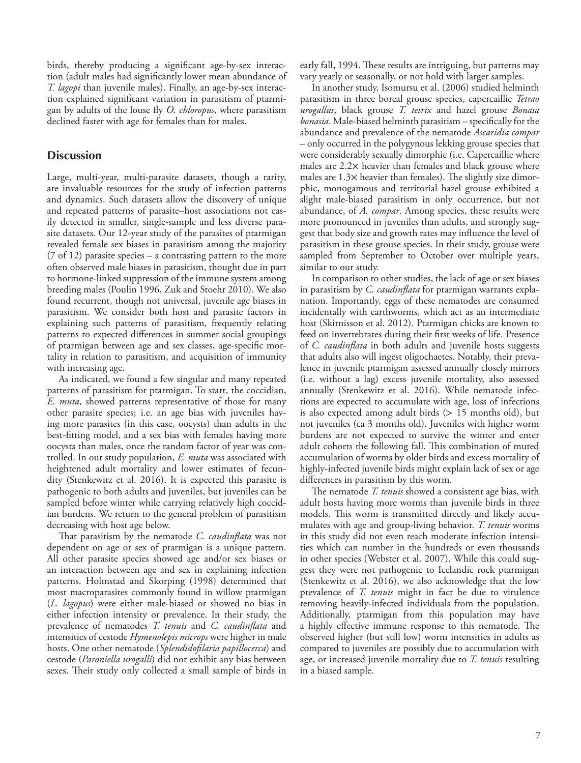birds, thereby producing a significant age-by-sex interaction (adult males had significantly lower mean abundance of *T. lagopi* than juvenile males). Finally, an age-by-sex interaction explained significant variation in parasitism of ptarmigan by adults of the louse fly *O. chloropus*, where parasitism declined faster with age for females than for males.

#### **Discussion**

Large, multi-year, multi-parasite datasets, though a rarity, are invaluable resources for the study of infection patterns and dynamics. Such datasets allow the discovery of unique and repeated patterns of parasite–host associations not easily detected in smaller, single-sample and less diverse parasite datasets. Our 12-year study of the parasites of ptarmigan revealed female sex biases in parasitism among the majority (7 of 12) parasite species – a contrasting pattern to the more often observed male biases in parasitism, thought due in part to hormone-linked suppression of the immune system among breeding males (Poulin 1996, Zuk and Stoehr 2010). We also found recurrent, though not universal, juvenile age biases in parasitism. We consider both host and parasite factors in explaining such patterns of parasitism, frequently relating patterns to expected differences in summer social groupings of ptarmigan between age and sex classes, age-specific mortality in relation to parasitism, and acquisition of immunity with increasing age.

As indicated, we found a few singular and many repeated patterns of parasitism for ptarmigan. To start, the coccidian, *E. muta*, showed patterns representative of those for many other parasite species; i.e. an age bias with juveniles having more parasites (in this case, oocysts) than adults in the best-fitting model, and a sex bias with females having more oocysts than males, once the random factor of year was controlled. In our study population, *E. muta* was associated with heightened adult mortality and lower estimates of fecundity (Stenkewitz et al. 2016). It is expected this parasite is pathogenic to both adults and juveniles, but juveniles can be sampled before winter while carrying relatively high coccidian burdens. We return to the general problem of parasitism decreasing with host age below.

That parasitism by the nematode *C. caudinflata* was not dependent on age or sex of ptarmigan is a unique pattern. All other parasite species showed age and/or sex biases or an interaction between age and sex in explaining infection patterns. Holmstad and Skorping (1998) determined that most macroparasites commonly found in willow ptarmigan (*L. lagopus*) were either male-biased or showed no bias in either infection intensity or prevalence. In their study, the prevalence of nematodes *T. tenuis* and *C. caudinflata* and intensities of cestode *Hymenolepis microps* were higher in male hosts. One other nematode (*Splendidofilaria papillocerca*) and cestode (*Paroniella urogalli*) did not exhibit any bias between sexes. Their study only collected a small sample of birds in

early fall, 1994. These results are intriguing, but patterns may vary yearly or seasonally, or not hold with larger samples.

In another study, Isomursu et al. (2006) studied helminth parasitism in three boreal grouse species, capercaillie *Tetrao urogallus*, black grouse *T. tetrix* and hazel grouse *Bonasa bonasia*. Male-biased helminth parasitism – specifically for the abundance and prevalence of the nematode *Ascaridia compar* – only occurred in the polygynous lekking grouse species that were considerably sexually dimorphic (i.e. Capercaillie where males are 2.2× heavier than females and black grouse where males are 1.3× heavier than females). The slightly size dimorphic, monogamous and territorial hazel grouse exhibited a slight male-biased parasitism in only occurrence, but not abundance, of *A. compar*. Among species, these results were more pronounced in juveniles than adults, and strongly suggest that body size and growth rates may influence the level of parasitism in these grouse species. In their study, grouse were sampled from September to October over multiple years, similar to our study.

In comparison to other studies, the lack of age or sex biases in parasitism by *C. caudinflata* for ptarmigan warrants explanation. Importantly, eggs of these nematodes are consumed incidentally with earthworms, which act as an intermediate host (Skirnisson et al. 2012). Ptarmigan chicks are known to feed on invertebrates during their first weeks of life. Presence of *C. caudinflata* in both adults and juvenile hosts suggests that adults also will ingest oligochaetes. Notably, their prevalence in juvenile ptarmigan assessed annually closely mirrors (i.e. without a lag) excess juvenile mortality, also assessed annually (Stenkewitz et al. 2016). While nematode infections are expected to accumulate with age, loss of infections is also expected among adult birds  $(> 15$  months old), but not juveniles (ca 3 months old). Juveniles with higher worm burdens are not expected to survive the winter and enter adult cohorts the following fall. This combination of muted accumulation of worms by older birds and excess mortality of highly-infected juvenile birds might explain lack of sex or age differences in parasitism by this worm.

The nematode *T. tenuis* showed a consistent age bias, with adult hosts having more worms than juvenile birds in three models. This worm is transmitted directly and likely accumulates with age and group-living behavior. *T. tenuis* worms in this study did not even reach moderate infection intensities which can number in the hundreds or even thousands in other species (Webster et al. 2007). While this could suggest they were not pathogenic to Icelandic rock ptarmigan (Stenkewitz et al. 2016), we also acknowledge that the low prevalence of *T. tenuis* might in fact be due to virulence removing heavily-infected individuals from the population. Additionally, ptarmigan from this population may have a highly effective immune response to this nematode. The observed higher (but still low) worm intensities in adults as compared to juveniles are possibly due to accumulation with age, or increased juvenile mortality due to *T. tenuis* resulting in a biased sample.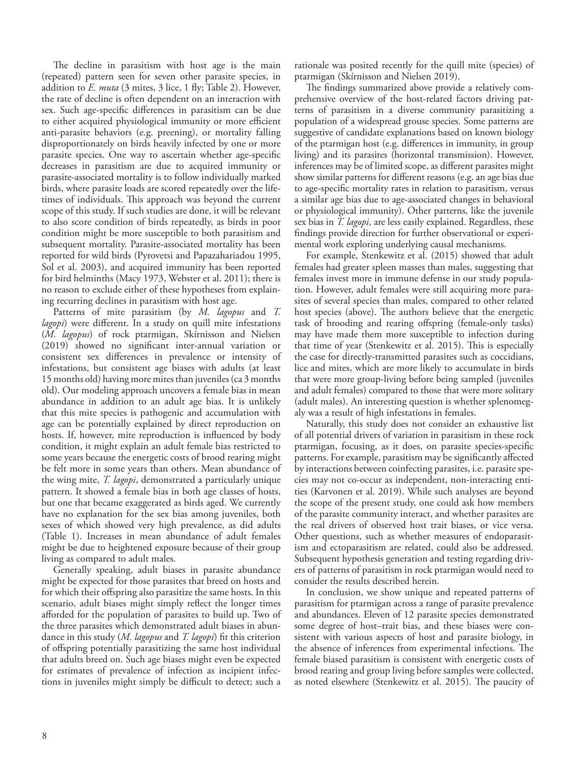The decline in parasitism with host age is the main (repeated) pattern seen for seven other parasite species, in addition to *E. muta* (3 mites, 3 lice, 1 fly; Table 2). However, the rate of decline is often dependent on an interaction with sex. Such age-specific differences in parasitism can be due to either acquired physiological immunity or more efficient anti-parasite behaviors (e.g. preening), or mortality falling disproportionately on birds heavily infected by one or more parasite species. One way to ascertain whether age-specific decreases in parasitism are due to acquired immunity or parasite-associated mortality is to follow individually marked birds, where parasite loads are scored repeatedly over the lifetimes of individuals. This approach was beyond the current scope of this study. If such studies are done, it will be relevant to also score condition of birds repeatedly, as birds in poor condition might be more susceptible to both parasitism and subsequent mortality. Parasite-associated mortality has been reported for wild birds (Pyrovetsi and Papazahariadou 1995, Sol et al. 2003), and acquired immunity has been reported for bird helminths (Macy 1973, Webster et al. 2011); there is no reason to exclude either of these hypotheses from explaining recurring declines in parasitism with host age.

Patterns of mite parasitism (by *M. lagopus* and *T. lagopi*) were different. In a study on quill mite infestations (*M. lagopus*) of rock ptarmigan, Skírnisson and Nielsen (2019) showed no significant inter-annual variation or consistent sex differences in prevalence or intensity of infestations, but consistent age biases with adults (at least 15 months old) having more mites than juveniles (ca 3 months old). Our modeling approach uncovers a female bias in mean abundance in addition to an adult age bias. It is unlikely that this mite species is pathogenic and accumulation with age can be potentially explained by direct reproduction on hosts. If, however, mite reproduction is influenced by body condition, it might explain an adult female bias restricted to some years because the energetic costs of brood rearing might be felt more in some years than others. Mean abundance of the wing mite, *T. lagopi*, demonstrated a particularly unique pattern. It showed a female bias in both age classes of hosts, but one that became exaggerated as birds aged. We currently have no explanation for the sex bias among juveniles, both sexes of which showed very high prevalence, as did adults (Table 1). Increases in mean abundance of adult females might be due to heightened exposure because of their group living as compared to adult males.

Generally speaking, adult biases in parasite abundance might be expected for those parasites that breed on hosts and for which their offspring also parasitize the same hosts. In this scenario, adult biases might simply reflect the longer times afforded for the population of parasites to build up. Two of the three parasites which demonstrated adult biases in abundance in this study (*M. lagopus* and *T. lagopi*) fit this criterion of offspring potentially parasitizing the same host individual that adults breed on. Such age biases might even be expected for estimates of prevalence of infection as incipient infections in juveniles might simply be difficult to detect; such a

rationale was posited recently for the quill mite (species) of ptarmigan (Skírnisson and Nielsen 2019).

The findings summarized above provide a relatively comprehensive overview of the host-related factors driving patterns of parasitism in a diverse community parasitizing a population of a widespread grouse species. Some patterns are suggestive of candidate explanations based on known biology of the ptarmigan host (e.g. differences in immunity, in group living) and its parasites (horizontal transmission). However, inferences may be of limited scope, as different parasites might show similar patterns for different reasons (e.g. an age bias due to age-specific mortality rates in relation to parasitism, versus a similar age bias due to age-associated changes in behavioral or physiological immunity). Other patterns, like the juvenile sex bias in *T. lagopi*, are less easily explained. Regardless, these findings provide direction for further observational or experimental work exploring underlying causal mechanisms.

For example, Stenkewitz et al. (2015) showed that adult females had greater spleen masses than males, suggesting that females invest more in immune defense in our study population. However, adult females were still acquiring more parasites of several species than males, compared to other related host species (above). The authors believe that the energetic task of brooding and rearing offspring (female-only tasks) may have made them more susceptible to infection during that time of year (Stenkewitz et al. 2015). This is especially the case for directly-transmitted parasites such as coccidians, lice and mites, which are more likely to accumulate in birds that were more group-living before being sampled (juveniles and adult females) compared to those that were more solitary (adult males). An interesting question is whether splenomegaly was a result of high infestations in females.

Naturally, this study does not consider an exhaustive list of all potential drivers of variation in parasitism in these rock ptarmigan, focusing, as it does, on parasite species-specific patterns. For example, parasitism may be significantly affected by interactions between coinfecting parasites, i.e. parasite species may not co-occur as independent, non-interacting entities (Karvonen et al. 2019). While such analyses are beyond the scope of the present study, one could ask how members of the parasite community interact, and whether parasites are the real drivers of observed host trait biases, or vice versa. Other questions, such as whether measures of endoparasitism and ectoparasitism are related, could also be addressed. Subsequent hypothesis generation and testing regarding drivers of patterns of parasitism in rock ptarmigan would need to consider the results described herein.

In conclusion, we show unique and repeated patterns of parasitism for ptarmigan across a range of parasite prevalence and abundances. Eleven of 12 parasite species demonstrated some degree of host–trait bias, and these biases were consistent with various aspects of host and parasite biology, in the absence of inferences from experimental infections. The female biased parasitism is consistent with energetic costs of brood rearing and group living before samples were collected, as noted elsewhere (Stenkewitz et al. 2015). The paucity of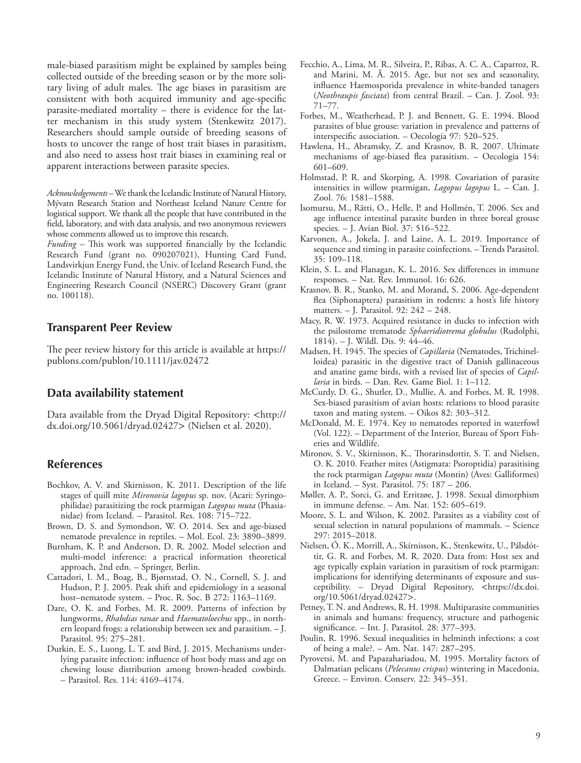male-biased parasitism might be explained by samples being collected outside of the breeding season or by the more solitary living of adult males. The age biases in parasitism are consistent with both acquired immunity and age-specific parasite-mediated mortality – there is evidence for the latter mechanism in this study system (Stenkewitz 2017). Researchers should sample outside of breeding seasons of hosts to uncover the range of host trait biases in parasitism, and also need to assess host trait biases in examining real or apparent interactions between parasite species.

*Acknowledgements* – We thank the Icelandic Institute of Natural History, Mývatn Research Station and Northeast Iceland Nature Centre for logistical support. We thank all the people that have contributed in the field, laboratory, and with data analysis, and two anonymous reviewers whose comments allowed us to improve this research.

*Funding* – This work was supported financially by the Icelandic Research Fund (grant no. 090207021), Hunting Card Fund, Landsvirkjun Energy Fund, the Univ. of Iceland Research Fund, the Icelandic Institute of Natural History, and a Natural Sciences and Engineering Research Council (NSERC) Discovery Grant (grant no. 100118).

#### **Transparent Peer Review**

The peer review history for this article is available at https:// publons.com/publon/10.1111/jav.02472

### **Data availability statement**

Data available from the Dryad Digital Repository: <http:// dx.doi.org/10.5061/dryad.02427> (Nielsen et al. 2020).

#### **References**

- Bochkov, A. V. and Skirnisson, K. 2011. Description of the life stages of quill mite *Mironovia lagopus* sp. nov. (Acari: Syringophilidae) parasitizing the rock ptarmigan *Lagopus muta* (Phasianidae) from Iceland. – Parasitol. Res. 108: 715–722.
- Brown, D. S. and Symondson, W. O. 2014. Sex and age-biased nematode prevalence in reptiles. – Mol. Ecol. 23: 3890–3899.
- Burnham, K. P. and Anderson, D. R. 2002. Model selection and multi-model inference: a practical information theoretical approach, 2nd edn. – Springer, Berlin.
- Cattadori, I. M., Boag, B., Bjørnstad, O. N., Cornell, S. J. and Hudson, P. J. 2005. Peak shift and epidemiology in a seasonal host–nematode system. – Proc. R. Soc. B 272: 1163–1169.
- Dare, O. K. and Forbes, M. R. 2009. Patterns of infection by lungworms, *Rhabdias ranae* and *Haematoloechus* spp., in northern leopard frogs: a relationship between sex and parasitism. – J. Parasitol. 95: 275–281.
- Durkin, E. S., Luong, L. T. and Bird, J. 2015. Mechanisms underlying parasite infection: influence of host body mass and age on chewing louse distribution among brown-headed cowbirds. – Parasitol. Res. 114: 4169–4174.
- Fecchio, A., Lima, M. R., Silveira, P., Ribas, A. C. A., Caparroz, R. and Marini, M. Â. 2015. Age, but not sex and seasonality, influence Haemosporida prevalence in white-banded tanagers (*Neothraupis fasciata*) from central Brazil. – Can. J. Zool. 93: 71–77.
- Forbes, M., Weatherhead, P. J. and Bennett, G. E. 1994. Blood parasites of blue grouse: variation in prevalence and patterns of interspecific association. – Oecologia 97: 520–525.
- Hawlena, H., Abramsky, Z. and Krasnov, B. R. 2007. Ultimate mechanisms of age-biased flea parasitism. – Oecologia 154: 601–609.
- Holmstad, P. R. and Skorping, A. 1998. Covariation of parasite intensities in willow ptarmigan, *Lagopus lagopus* L. – Can. J. Zool. 76: 1581–1588.
- Isomursu, M., Rätti, O., Helle, P. and Hollmén, T. 2006. Sex and age influence intestinal parasite burden in three boreal grouse species. – J. Avian Biol. 37: 516–522.
- Karvonen, A., Jokela, J. and Laine, A. L. 2019. Importance of sequence and timing in parasite coinfections. – Trends Parasitol. 35: 109–118.
- Klein, S. L. and Flanagan, K. L. 2016. Sex differences in immune responses. – Nat. Rev. Immunol. 16: 626.
- Krasnov, B. R., Stanko, M. and Morand, S. 2006. Age-dependent flea (Siphonaptera) parasitism in rodents: a host's life history matters. – J. Parasitol. 92: 242 – 248.
- Macy, R. W. 1973. Acquired resistance in ducks to infection with the psilostome trematode *Sphaeridiotrema globulus* (Rudolphi, 1814). – J. Wildl. Dis. 9: 44–46.
- Madsen, H. 1945. The species of *Capillaria* (Nematodes, Trichinelloidea) parasitic in the digestive tract of Danish gallinaceous and anatine game birds, with a revised list of species of *Capillaria* in birds. – Dan. Rev. Game Biol. 1: 1–112.
- McCurdy, D. G., Shutler, D., Mullie, A. and Forbes, M. R. 1998. Sex-biased parasitism of avian hosts: relations to blood parasite taxon and mating system. – Oikos 82: 303–312.
- McDonald, M. E. 1974. Key to nematodes reported in waterfowl (Vol. 122). – Department of the Interior, Bureau of Sport Fisheries and Wildlife.
- Mironov, S. V., Skirnisson, K., Thorarinsdottir, S. T. and Nielsen, O. K. 2010. Feather mites (Astigmata: Psoroptidia) parasitising the rock ptarmigan *Lagopus muta* (Montin) (Aves: Galliformes) in Iceland. – Syst. Parasitol. 75: 187 – 206.
- Møller, A. P., Sorci, G. and Erritzøe, J. 1998. Sexual dimorphism in immune defense. – Am. Nat. 152: 605–619.
- Moore, S. L. and Wilson, K. 2002. Parasites as a viability cost of sexual selection in natural populations of mammals. – Science 297: 2015–2018.
- Nielsen, Ó. K., Morrill, A., Skírnisson, K., Stenkewitz, U., Pálsdóttir, G. R. and Forbes, M. R. 2020. Data from: Host sex and age typically explain variation in parasitism of rock ptarmigan: implications for identifying determinants of exposure and susceptibility. – Dryad Digital Repository, <https://dx.doi. org/10.5061/dryad.02427>.
- Petney, T. N. and Andrews, R. H. 1998. Multiparasite communities in animals and humans: frequency, structure and pathogenic significance. – Int. J. Parasitol. 28: 377–393.
- Poulin, R. 1996. Sexual inequalities in helminth infections: a cost of being a male?. – Am. Nat. 147: 287–295.
- Pyrovetsi, M. and Papazahariadou, M. 1995. Mortality factors of Dalmatian pelicans (*Pelecanus crispus*) wintering in Macedonia, Greece. – Environ. Conserv. 22: 345–351.